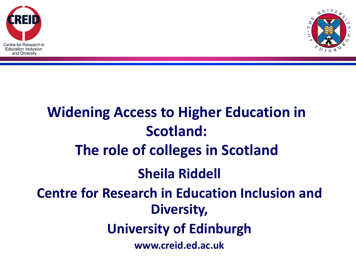



## **Widening Access to Higher Education in Scotland: The role of colleges in Scotland Sheila Riddell Centre for Research in Education Inclusion and Diversity, University of Edinburgh www.creid.ed.ac.uk**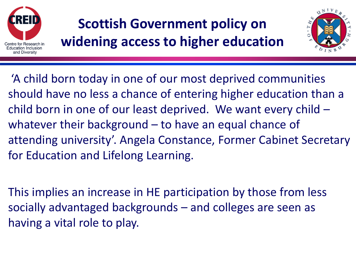

### **Scottish Government policy on widening access to higher education**



'A child born today in one of our most deprived communities should have no less a chance of entering higher education than a child born in one of our least deprived. We want every child – whatever their background – to have an equal chance of attending university'. Angela Constance, Former Cabinet Secretary for Education and Lifelong Learning.

This implies an increase in HE participation by those from less socially advantaged backgrounds – and colleges are seen as having a vital role to play.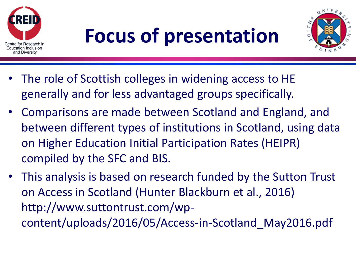



- The role of Scottish colleges in widening access to HE generally and for less advantaged groups specifically.
- Comparisons are made between Scotland and England, and between different types of institutions in Scotland, using data on Higher Education Initial Participation Rates (HEIPR) compiled by the SFC and BIS.
- This analysis is based on research funded by the Sutton Trust on Access in Scotland (Hunter Blackburn et al., 2016) http://www.suttontrust.com/wpcontent/uploads/2016/05/Access-in-Scotland\_May2016.pdf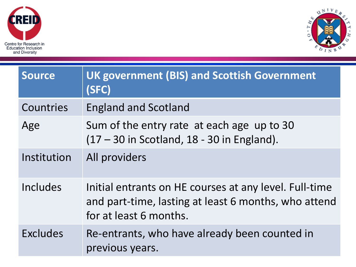



| <b>Source</b> | <b>UK government (BIS) and Scottish Government</b><br>(SFC)                                                                              |
|---------------|------------------------------------------------------------------------------------------------------------------------------------------|
| Countries     | <b>England and Scotland</b>                                                                                                              |
| Age           | Sum of the entry rate at each age up to 30<br>$(17 - 30$ in Scotland, 18 - 30 in England).                                               |
| Institution   | All providers                                                                                                                            |
| Includes      | Initial entrants on HE courses at any level. Full-time<br>and part-time, lasting at least 6 months, who attend<br>for at least 6 months. |
| Excludes      | Re-entrants, who have already been counted in<br>previous years.                                                                         |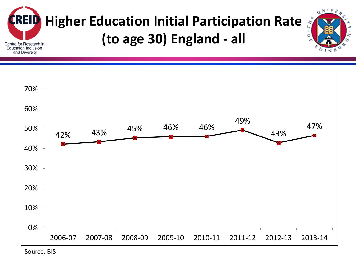



Source: BIS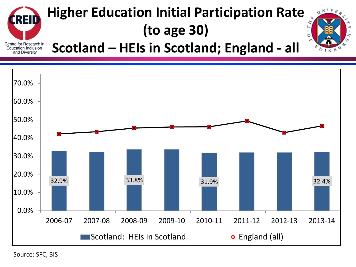

## **Higher Education Initial Participation Rate (to age 30)**



**Scotland – HEIs in Scotland; England - all**



Source: SFC, BIS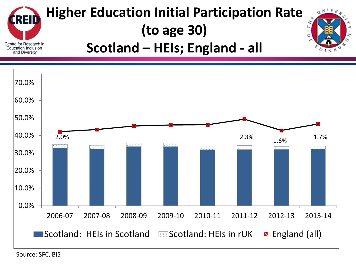



Source: SFC, BIS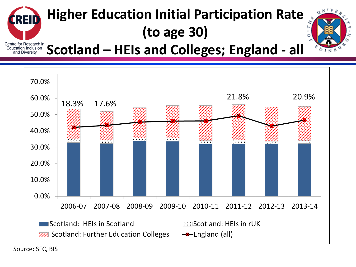#### **Higher Education Initial Participation Rate REII (to age 30)** Centre for Research in<br>Education Inclusion



**Scotland – HEIs and Colleges; England - all** and Diversity

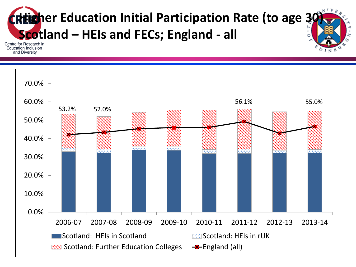

**Education Inclusion** and Diversity

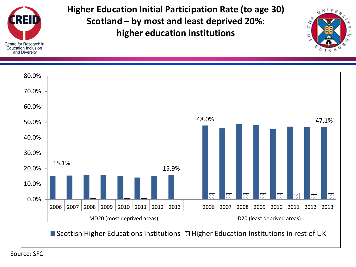

**Higher Education Initial Participation Rate (to age 30) Scotland – by most and least deprived 20%: higher education institutions**



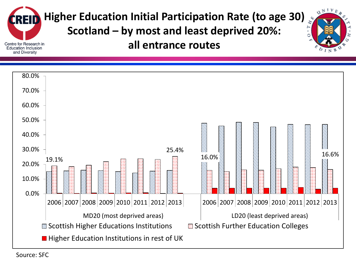

**Higher Education Initial Participation Rate (to age 30)**

**Scotland – by most and least deprived 20%:** 

 $\mathbf{u}^{NIV}$ 

**all entrance routes**



Source: SFC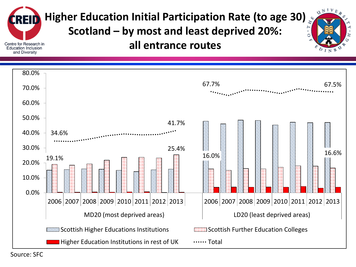

**Higher Education Initial Participation Rate (to age 30)**

**Scotland – by most and least deprived 20%:** 

 $\mathbf{u}^{NIV}$ 

**all entrance routes**



Source: SFC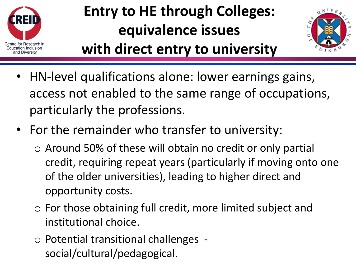

## **Entry to HE through Colleges: equivalence issues**



- **with direct entry to university**
- HN-level qualifications alone: lower earnings gains, access not enabled to the same range of occupations, particularly the professions.
- For the remainder who transfer to university:
	- o Around 50% of these will obtain no credit or only partial credit, requiring repeat years (particularly if moving onto one of the older universities), leading to higher direct and opportunity costs.
	- o For those obtaining full credit, more limited subject and institutional choice.
	- o Potential transitional challenges social/cultural/pedagogical.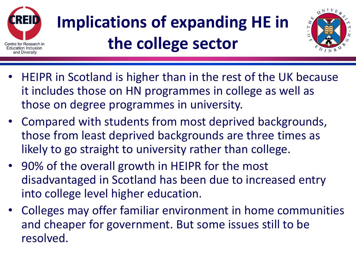

# **Implications of expanding HE in the college sector**



- HEIPR in Scotland is higher than in the rest of the UK because it includes those on HN programmes in college as well as those on degree programmes in university.
- Compared with students from most deprived backgrounds, those from least deprived backgrounds are three times as likely to go straight to university rather than college.
- 90% of the overall growth in HEIPR for the most disadvantaged in Scotland has been due to increased entry into college level higher education.
- Colleges may offer familiar environment in home communities and cheaper for government. But some issues still to be resolved.